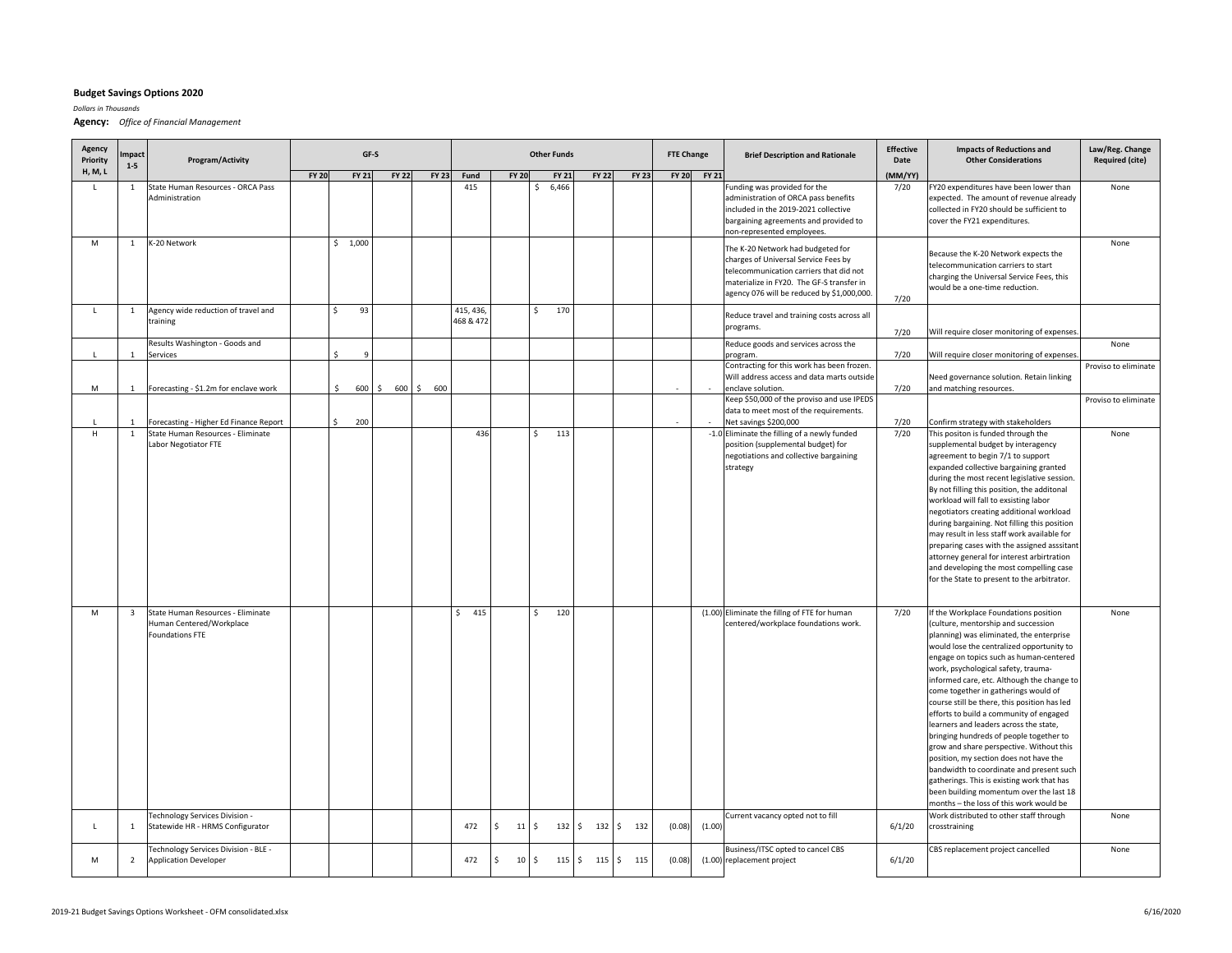## **Budget Savings Options 2020**

*Dollars in Thousands*

**Agency:** *Office of Financial Management*

| Agency<br>Priority | mpact<br>$1 - 5$             | Program/Activity                                                            |              |                             | GF-S         |              |                       |                                       | <b>Other Funds</b>  |                            |              | <b>FTE Change</b> |             | <b>Brief Description and Rationale</b>                                                                                                                                                                          | <b>Effective</b><br>Date | Law/Reg. Change<br><b>Required (cite)</b>                                                                                                                                                                                                                                                                                                                                                                                                                                                                                                                                                                                                                                                                                                                  |                      |
|--------------------|------------------------------|-----------------------------------------------------------------------------|--------------|-----------------------------|--------------|--------------|-----------------------|---------------------------------------|---------------------|----------------------------|--------------|-------------------|-------------|-----------------------------------------------------------------------------------------------------------------------------------------------------------------------------------------------------------------|--------------------------|------------------------------------------------------------------------------------------------------------------------------------------------------------------------------------------------------------------------------------------------------------------------------------------------------------------------------------------------------------------------------------------------------------------------------------------------------------------------------------------------------------------------------------------------------------------------------------------------------------------------------------------------------------------------------------------------------------------------------------------------------------|----------------------|
| <b>H, M, L</b>     |                              |                                                                             | <b>FY 20</b> | <b>FY 21</b>                | <b>FY 22</b> | <b>FY 23</b> | Fund                  | <b>FY 20</b>                          | <b>FY 21</b>        | <b>FY 22</b>               | <b>FY 23</b> |                   | FY 20 FY 21 |                                                                                                                                                                                                                 | (MM/YY)                  |                                                                                                                                                                                                                                                                                                                                                                                                                                                                                                                                                                                                                                                                                                                                                            |                      |
|                    | $\mathbf{1}$                 | State Human Resources - ORCA Pass<br>Administration                         |              |                             |              |              | 415                   |                                       | 6,466<br>\$         |                            |              |                   |             | Funding was provided for the<br>administration of ORCA pass benefits<br>included in the 2019-2021 collective<br>bargaining agreements and provided to<br>non-represented employees.                             | 7/20                     | FY20 expenditures have been lower than<br>expected. The amount of revenue already<br>collected in FY20 should be sufficient to<br>cover the FY21 expenditures.                                                                                                                                                                                                                                                                                                                                                                                                                                                                                                                                                                                             | None                 |
| M                  | $\mathbf{1}$                 | K-20 Network                                                                |              | \$1,000                     |              |              |                       |                                       |                     |                            |              |                   |             | The K-20 Network had budgeted for<br>charges of Universal Service Fees by<br>telecommunication carriers that did not<br>materialize in FY20. The GF-S transfer in<br>agency 076 will be reduced by \$1,000,000. | 7/20                     | Because the K-20 Network expects the<br>telecommunication carriers to start<br>charging the Universal Service Fees, this<br>would be a one-time reduction.                                                                                                                                                                                                                                                                                                                                                                                                                                                                                                                                                                                                 | None                 |
|                    | $\mathbf{1}$                 | Agency wide reduction of travel and<br>training                             |              | 93<br>Ś.                    |              |              | 415, 436<br>468 & 472 |                                       | 170<br>\$           |                            |              |                   |             | Reduce travel and training costs across all<br>programs.                                                                                                                                                        | 7/20                     | Will require closer monitoring of expenses.                                                                                                                                                                                                                                                                                                                                                                                                                                                                                                                                                                                                                                                                                                                |                      |
|                    |                              | Results Washington - Goods and                                              |              |                             |              |              |                       |                                       |                     |                            |              |                   |             | Reduce goods and services across the                                                                                                                                                                            |                          |                                                                                                                                                                                                                                                                                                                                                                                                                                                                                                                                                                                                                                                                                                                                                            | None                 |
|                    | $\mathbf{1}$                 | Services                                                                    |              | Ś.<br><sub>9</sub>          |              |              |                       |                                       |                     |                            |              |                   |             | orogram.                                                                                                                                                                                                        | 7/20                     | Will require closer monitoring of expenses                                                                                                                                                                                                                                                                                                                                                                                                                                                                                                                                                                                                                                                                                                                 |                      |
| М                  | $\mathbf{1}$                 | Forecasting - \$1.2m for enclave work                                       |              | Ś.<br>600                   | $\mathsf{S}$ | 600 \$ 600   |                       |                                       |                     |                            |              |                   |             | Contracting for this work has been frozen.<br>Will address access and data marts outside<br>enclave solution.                                                                                                   | 7/20                     | Need governance solution. Retain linking<br>and matching resources.                                                                                                                                                                                                                                                                                                                                                                                                                                                                                                                                                                                                                                                                                        | Proviso to eliminate |
|                    |                              |                                                                             |              |                             |              |              |                       |                                       |                     |                            |              |                   |             | Keep \$50,000 of the proviso and use IPEDS<br>data to meet most of the requirements.                                                                                                                            |                          |                                                                                                                                                                                                                                                                                                                                                                                                                                                                                                                                                                                                                                                                                                                                                            | Proviso to eliminate |
| H                  | $\mathbf{1}$<br><sup>1</sup> | Forecasting - Higher Ed Finance Report<br>State Human Resources - Eliminate |              | $\ddot{\phantom{0}}$<br>200 |              |              | 436                   |                                       | 113<br>Ś.           |                            |              | $\overline{a}$    |             | Net savings \$200,000<br>-1.0 Eliminate the filling of a newly funded                                                                                                                                           | 7/20<br>7/20             | Confirm strategy with stakeholders<br>This positon is funded through the                                                                                                                                                                                                                                                                                                                                                                                                                                                                                                                                                                                                                                                                                   | None                 |
| M                  | $\overline{\mathbf{3}}$      | Labor Negotiator FTE<br>State Human Resources - Eliminate                   |              |                             |              |              | 415<br>\$             |                                       | 120<br>Ś            |                            |              |                   |             | position (supplemental budget) for<br>negotiations and collective bargaining<br>strategy<br>(1.00) Eliminate the fillng of FTE for human                                                                        | 7/20                     | supplemental budget by interagency<br>agreement to begin 7/1 to support<br>expanded collective bargaining granted<br>during the most recent legislative session.<br>By not filling this position, the additonal<br>workload will fall to exsisting labor<br>negotiators creating additional workload<br>during bargaining. Not filling this position<br>may result in less staff work available for<br>preparing cases with the assigned asssitant<br>attorney general for interest arbirtration<br>and developing the most compelling case<br>for the State to present to the arbitrator.<br>If the Workplace Foundations position                                                                                                                        | None                 |
|                    |                              | Human Centered/Workplace<br>Foundations FTE                                 |              |                             |              |              |                       |                                       |                     |                            |              |                   |             | centered/workplace foundations work.                                                                                                                                                                            |                          | (culture, mentorship and succession<br>planning) was eliminated, the enterprise<br>would lose the centralized opportunity to<br>engage on topics such as human-centered<br>work, psychological safety, trauma-<br>informed care, etc. Although the change to<br>come together in gatherings would of<br>course still be there, this position has led<br>efforts to build a community of engaged<br>learners and leaders across the state,<br>bringing hundreds of people together to<br>grow and share perspective. Without this<br>position, my section does not have the<br>bandwidth to coordinate and present such<br>gatherings. This is existing work that has<br>been building momentum over the last 18<br>months - the loss of this work would be |                      |
|                    | $\mathbf{1}$                 | Technology Services Division -<br>Statewide HR - HRMS Configurator          |              |                             |              |              | 472                   | <sub>S</sub><br>$11 \mid \zeta$       |                     | 132 \$ 132                 | $5 - 132$    | (0.08)            | (1.00)      | Current vacancy opted not to fill                                                                                                                                                                               | 6/1/20                   | Work distributed to other staff through<br>crosstraining                                                                                                                                                                                                                                                                                                                                                                                                                                                                                                                                                                                                                                                                                                   | None                 |
| M                  | $\overline{2}$               | Fechnology Services Division - BLE -<br>Application Developer               |              |                             |              |              | 472                   | $\ddot{\varsigma}$<br>10 <sup>1</sup> | $\ddot{\mathsf{S}}$ | $115 \mid 5 \mid 115 \mid$ | \$ 115       | (0.08)            |             | Business/ITSC opted to cancel CBS<br>(1.00) replacement project                                                                                                                                                 | 6/1/20                   | CBS replacement project cancelled                                                                                                                                                                                                                                                                                                                                                                                                                                                                                                                                                                                                                                                                                                                          | None                 |